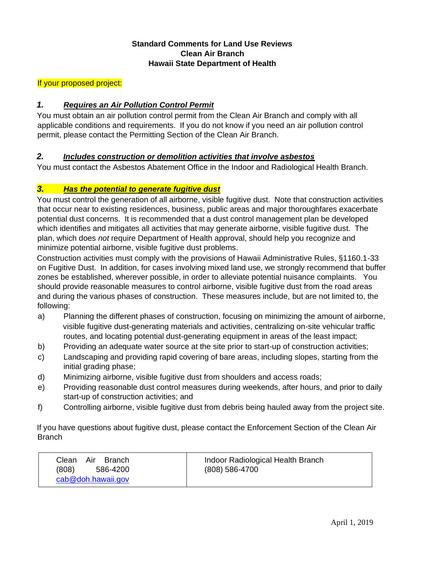## **Standard Comments for Land Use Reviews Clean Air Branch Hawaii State Department of Health**

## If your proposed project:

## *1. Requires an Air Pollution Control Permit*

You must obtain an air pollution control permit from the Clean Air Branch and comply with all applicable conditions and requirements. If you do not know if you need an air pollution control permit, please contact the Permitting Section of the Clean Air Branch.

#### *2. Includes construction or demolition activities that involve asbestos*

You must contact the Asbestos Abatement Office in the Indoor and Radiological Health Branch.

#### *3. Has the potential to generate fugitive dust*

You must control the generation of all airborne, visible fugitive dust. Note that construction activities that occur near to existing residences, business, public areas and major thoroughfares exacerbate potential dust concerns. It is recommended that a dust control management plan be developed which identifies and mitigates all activities that may generate airborne, visible fugitive dust. The plan, which does *not* require Department of Health approval, should help you recognize and minimize potential airborne, visible fugitive dust problems.

Construction activities must comply with the provisions of Hawaii Administrative Rules, §1160.1-33 on Fugitive Dust. In addition, for cases involving mixed land use, we strongly recommend that buffer zones be established, wherever possible, in order to alleviate potential nuisance complaints. You should provide reasonable measures to control airborne, visible fugitive dust from the road areas and during the various phases of construction. These measures include, but are not limited to, the following:

- a) Planning the different phases of construction, focusing on minimizing the amount of airborne, visible fugitive dust-generating materials and activities, centralizing on-site vehicular traffic routes, and locating potential dust-generating equipment in areas of the least impact;
- b) Providing an adequate water source at the site prior to start-up of construction activities;
- c) Landscaping and providing rapid covering of bare areas, including slopes, starting from the initial grading phase;
- d) Minimizing airborne, visible fugitive dust from shoulders and access roads;
- e) Providing reasonable dust control measures during weekends, after hours, and prior to daily start-up of construction activities; and
- f) Controlling airborne, visible fugitive dust from debris being hauled away from the project site.

If you have questions about fugitive dust, please contact the Enforcement Section of the Clean Air **Branch** 

| Air<br>Clean<br>Branch<br>(808)<br>586-4200<br>cab@doh.hawaii.gov | Indoor Radiological Health Branch<br>(808) 586-4700 |
|-------------------------------------------------------------------|-----------------------------------------------------|
|-------------------------------------------------------------------|-----------------------------------------------------|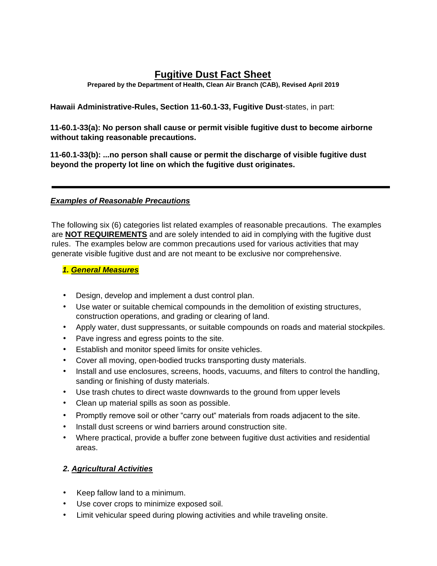# **Fugitive Dust Fact Sheet**

**Prepared by the Department of Health, Clean Air Branch (CAB), Revised April 2019** 

**Hawaii Administrative-Rules, Section 11-60.1-33, Fugitive Dust**-states, in part:

**11-60.1-33(a): No person shall cause or permit visible fugitive dust to become airborne without taking reasonable precautions.** 

**11-60.1-33(b): ...no person shall cause or permit the discharge of visible fugitive dust beyond the property lot line on which the fugitive dust originates.** 

#### *Examples of Reasonable Precautions*

The following six (6) categories list related examples of reasonable precautions. The examples are **NOT REQUIREMENTS** and are solely intended to aid in complying with the fugitive dust rules. The examples below are common precautions used for various activities that may generate visible fugitive dust and are not meant to be exclusive nor comprehensive.

#### *1. General Measures*

- Design, develop and implement a dust control plan.
- Use water or suitable chemical compounds in the demolition of existing structures, construction operations, and grading or clearing of land.
- Apply water, dust suppressants, or suitable compounds on roads and material stockpiles.
- Pave ingress and egress points to the site.
- Establish and monitor speed limits for onsite vehicles.
- Cover all moving, open-bodied trucks transporting dusty materials.
- Install and use enclosures, screens, hoods, vacuums, and filters to control the handling, sanding or finishing of dusty materials.
- Use trash chutes to direct waste downwards to the ground from upper levels
- Clean up material spills as soon as possible.
- Promptly remove soil or other "carry out" materials from roads adjacent to the site.
- Install dust screens or wind barriers around construction site.
- Where practical, provide a buffer zone between fugitive dust activities and residential areas.

# *2. Agricultural Activities*

- Keep fallow land to a minimum.
- Use cover crops to minimize exposed soil.
- Limit vehicular speed during plowing activities and while traveling onsite.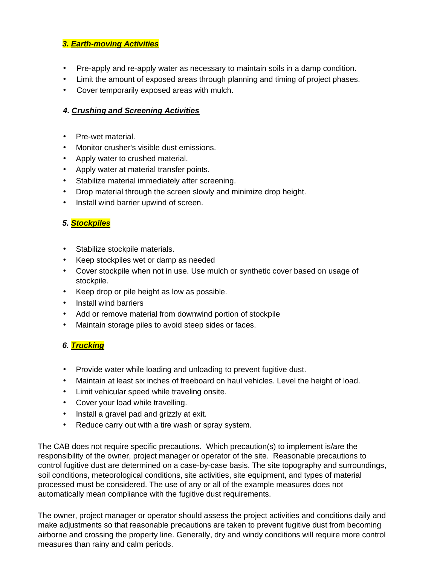#### *3. Earth-moving Activities*

- Pre-apply and re-apply water as necessary to maintain soils in a damp condition.
- Limit the amount of exposed areas through planning and timing of project phases.
- Cover temporarily exposed areas with mulch.

#### *4. Crushing and Screening Activities*

- Pre-wet material.
- Monitor crusher's visible dust emissions.
- Apply water to crushed material.
- Apply water at material transfer points.
- Stabilize material immediately after screening.
- Drop material through the screen slowly and minimize drop height.
- Install wind barrier upwind of screen.

# *5. Stockpiles*

- Stabilize stockpile materials.
- Keep stockpiles wet or damp as needed
- Cover stockpile when not in use. Use mulch or synthetic cover based on usage of stockpile.
- Keep drop or pile height as low as possible.
- Install wind barriers
- Add or remove material from downwind portion of stockpile
- Maintain storage piles to avoid steep sides or faces.

# *6. Trucking*

- Provide water while loading and unloading to prevent fugitive dust.
- Maintain at least six inches of freeboard on haul vehicles. Level the height of load.
- Limit vehicular speed while traveling onsite.
- Cover your load while travelling.
- Install a gravel pad and grizzly at exit.
- Reduce carry out with a tire wash or spray system.

The CAB does not require specific precautions. Which precaution(s) to implement is/are the responsibility of the owner, project manager or operator of the site. Reasonable precautions to control fugitive dust are determined on a case-by-case basis. The site topography and surroundings, soil conditions, meteorological conditions, site activities, site equipment, and types of material processed must be considered. The use of any or all of the example measures does not automatically mean compliance with the fugitive dust requirements.

The owner, project manager or operator should assess the project activities and conditions daily and make adjustments so that reasonable precautions are taken to prevent fugitive dust from becoming airborne and crossing the property line. Generally, dry and windy conditions will require more control measures than rainy and calm periods.